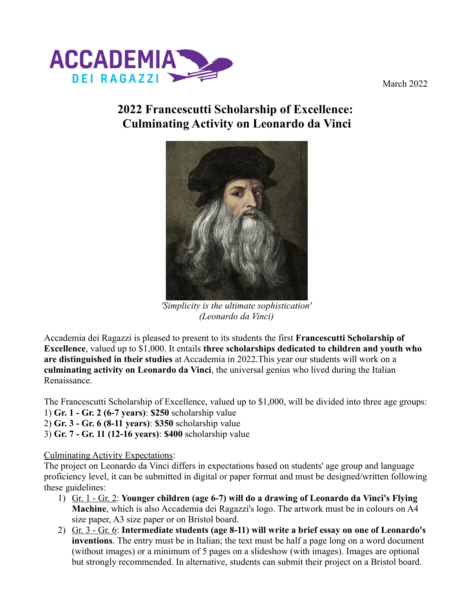

March 2022

## **2022 Francescutti Scholarship of Excellence: Culminating Activity on Leonardo da Vinci**



*'Simplicity is the ultimate sophistication' (Leonardo da Vinci)*

Accademia dei Ragazzi is pleased to present to its students the first **Francescutti Scholarship of Excellence**, valued up to \$1,000. It entails **three scholarships dedicated to children and youth who are distinguished in their studies** at Accademia in 2022.This year our students will work on a **culminating activity on Leonardo da Vinci**, the universal genius who lived during the Italian Renaissance.

The Francescutti Scholarship of Excellence, valued up to \$1,000, will be divided into three age groups:

- 1) **Gr. 1 Gr. 2 (6-7 years)**: **\$250** scholarship value
- 2) **Gr. 3 Gr. 6 (8-11 years)**: **\$350** scholarship value
- 3) **Gr. 7 Gr. 11 (12-16 years)**: **\$400** scholarship value

## Culminating Activity Expectations:

The project on Leonardo da Vinci differs in expectations based on students' age group and language proficiency level, it can be submitted in digital or paper format and must be designed/written following these guidelines:

- 1) Gr. 1 Gr. 2: **Younger children (age 6-7) will do a drawing of Leonardo da Vinci's Flying Machine**, which is also Accademia dei Ragazzi's logo. The artwork must be in colours on A4 size paper, A3 size paper or on Bristol board.
- 2) Gr. 3 Gr. 6: **Intermediate students (age 8-11) will write a brief essay on one of Leonardo's inventions**. The entry must be in Italian; the text must be half a page long on a word document (without images) or a minimum of 5 pages on a slideshow (with images). Images are optional but strongly recommended. In alternative, students can submit their project on a Bristol board.